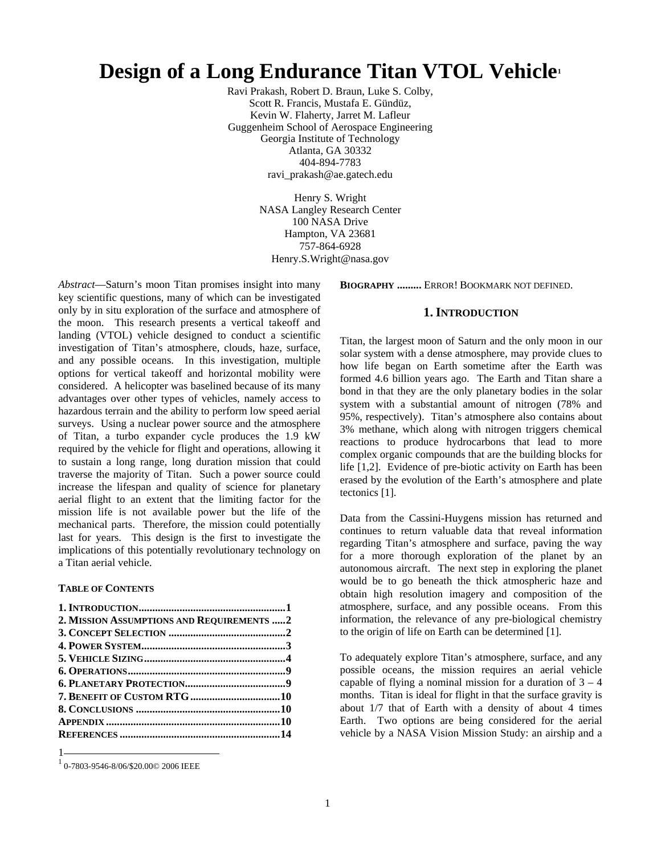# **Design of a Long Endurance Titan VTOL Vehicle1**

Ravi Prakash, Robert D. Braun, Luke S. Colby, Scott R. Francis, Mustafa E. Gündüz, Kevin W. Flaherty, Jarret M. Lafleur Guggenheim School of Aerospace Engineering Georgia Institute of Technology Atlanta, GA 30332 404-894-7783 ravi\_prakash@ae.gatech.edu

> Henry S. Wright NASA Langley Research Center 100 NASA Drive Hampton, VA 23681 757-864-6928 Henry.S.Wright@nasa.gov

*Abstract*—Saturn's moon Titan promises insight into many key scientific questions, many of which can be investigated only by in situ exploration of the surface and atmosphere of the moon. This research presents a vertical takeoff and landing (VTOL) vehicle designed to conduct a scientific investigation of Titan's atmosphere, clouds, haze, surface, and any possible oceans. In this investigation, multiple options for vertical takeoff and horizontal mobility were considered. A helicopter was baselined because of its many advantages over other types of vehicles, namely access to hazardous terrain and the ability to perform low speed aerial surveys. Using a nuclear power source and the atmosphere of Titan, a turbo expander cycle produces the 1.9 kW required by the vehicle for flight and operations, allowing it to sustain a long range, long duration mission that could traverse the majority of Titan. Such a power source could increase the lifespan and quality of science for planetary aerial flight to an extent that the limiting factor for the mission life is not available power but the life of the mechanical parts. Therefore, the mission could potentially last for years. This design is the first to investigate the implications of this potentially revolutionary technology on a Titan aerial vehicle.

## **TABLE OF CONTENTS**

| 2. MISSION ASSUMPTIONS AND REQUIREMENTS  2 |  |
|--------------------------------------------|--|
|                                            |  |
|                                            |  |
|                                            |  |
|                                            |  |
|                                            |  |
|                                            |  |
|                                            |  |
|                                            |  |
|                                            |  |
|                                            |  |

1

**BIOGRAPHY .........** ERROR! BOOKMARK NOT DEFINED.

## **1. INTRODUCTION**

Titan, the largest moon of Saturn and the only moon in our solar system with a dense atmosphere, may provide clues to how life began on Earth sometime after the Earth was formed 4.6 billion years ago. The Earth and Titan share a bond in that they are the only planetary bodies in the solar system with a substantial amount of nitrogen (78% and 95%, respectively). Titan's atmosphere also contains about 3% methane, which along with nitrogen triggers chemical reactions to produce hydrocarbons that lead to more complex organic compounds that are the building blocks for life [1,2]. Evidence of pre-biotic activity on Earth has been erased by the evolution of the Earth's atmosphere and plate tectonics [1].

Data from the Cassini-Huygens mission has returned and continues to return valuable data that reveal information regarding Titan's atmosphere and surface, paving the way for a more thorough exploration of the planet by an autonomous aircraft. The next step in exploring the planet would be to go beneath the thick atmospheric haze and obtain high resolution imagery and composition of the atmosphere, surface, and any possible oceans. From this information, the relevance of any pre-biological chemistry to the origin of life on Earth can be determined [1].

To adequately explore Titan's atmosphere, surface, and any possible oceans, the mission requires an aerial vehicle capable of flying a nominal mission for a duration of  $3 - 4$ months. Titan is ideal for flight in that the surface gravity is about 1/7 that of Earth with a density of about 4 times Earth. Two options are being considered for the aerial vehicle by a NASA Vision Mission Study: an airship and a

<sup>1</sup> 0-7803-9546-8/06/\$20.00© 2006 IEEE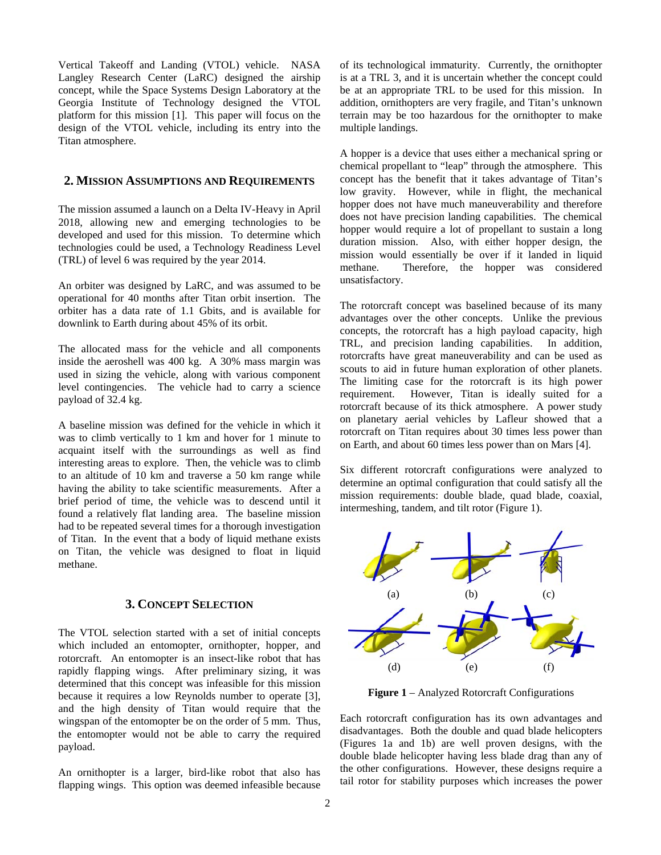Vertical Takeoff and Landing (VTOL) vehicle. NASA Langley Research Center (LaRC) designed the airship concept, while the Space Systems Design Laboratory at the Georgia Institute of Technology designed the VTOL platform for this mission [1]. This paper will focus on the design of the VTOL vehicle, including its entry into the Titan atmosphere.

## **2. MISSION ASSUMPTIONS AND REQUIREMENTS**

The mission assumed a launch on a Delta IV-Heavy in April 2018, allowing new and emerging technologies to be developed and used for this mission. To determine which technologies could be used, a Technology Readiness Level (TRL) of level 6 was required by the year 2014.

An orbiter was designed by LaRC, and was assumed to be operational for 40 months after Titan orbit insertion. The orbiter has a data rate of 1.1 Gbits, and is available for downlink to Earth during about 45% of its orbit.

The allocated mass for the vehicle and all components inside the aeroshell was 400 kg. A 30% mass margin was used in sizing the vehicle, along with various component level contingencies. The vehicle had to carry a science payload of 32.4 kg.

A baseline mission was defined for the vehicle in which it was to climb vertically to 1 km and hover for 1 minute to acquaint itself with the surroundings as well as find interesting areas to explore. Then, the vehicle was to climb to an altitude of 10 km and traverse a 50 km range while having the ability to take scientific measurements. After a brief period of time, the vehicle was to descend until it found a relatively flat landing area. The baseline mission had to be repeated several times for a thorough investigation of Titan. In the event that a body of liquid methane exists on Titan, the vehicle was designed to float in liquid methane.

# **3. CONCEPT SELECTION**

The VTOL selection started with a set of initial concepts which included an entomopter, ornithopter, hopper, and rotorcraft. An entomopter is an insect-like robot that has rapidly flapping wings. After preliminary sizing, it was determined that this concept was infeasible for this mission because it requires a low Reynolds number to operate [3], and the high density of Titan would require that the wingspan of the entomopter be on the order of 5 mm. Thus, the entomopter would not be able to carry the required payload.

An ornithopter is a larger, bird-like robot that also has flapping wings. This option was deemed infeasible because of its technological immaturity. Currently, the ornithopter is at a TRL 3, and it is uncertain whether the concept could be at an appropriate TRL to be used for this mission. In addition, ornithopters are very fragile, and Titan's unknown terrain may be too hazardous for the ornithopter to make multiple landings.

A hopper is a device that uses either a mechanical spring or chemical propellant to "leap" through the atmosphere. This concept has the benefit that it takes advantage of Titan's low gravity. However, while in flight, the mechanical hopper does not have much maneuverability and therefore does not have precision landing capabilities. The chemical hopper would require a lot of propellant to sustain a long duration mission. Also, with either hopper design, the mission would essentially be over if it landed in liquid methane. Therefore, the hopper was considered unsatisfactory.

The rotorcraft concept was baselined because of its many advantages over the other concepts. Unlike the previous concepts, the rotorcraft has a high payload capacity, high TRL, and precision landing capabilities. In addition, rotorcrafts have great maneuverability and can be used as scouts to aid in future human exploration of other planets. The limiting case for the rotorcraft is its high power requirement. However, Titan is ideally suited for a rotorcraft because of its thick atmosphere. A power study on planetary aerial vehicles by Lafleur showed that a rotorcraft on Titan requires about 30 times less power than on Earth, and about 60 times less power than on Mars [4].

Six different rotorcraft configurations were analyzed to determine an optimal configuration that could satisfy all the mission requirements: double blade, quad blade, coaxial, intermeshing, tandem, and tilt rotor (Figure 1).



**Figure 1** – Analyzed Rotorcraft Configurations

Each rotorcraft configuration has its own advantages and disadvantages. Both the double and quad blade helicopters (Figures 1a and 1b) are well proven designs, with the double blade helicopter having less blade drag than any of the other configurations. However, these designs require a tail rotor for stability purposes which increases the power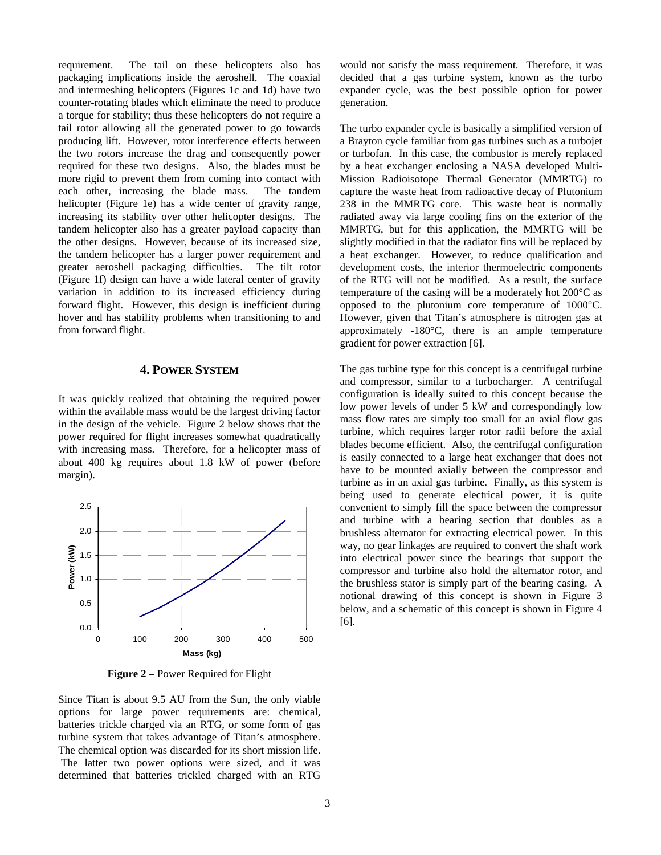requirement. The tail on these helicopters also has packaging implications inside the aeroshell. The coaxial and intermeshing helicopters (Figures 1c and 1d) have two counter-rotating blades which eliminate the need to produce a torque for stability; thus these helicopters do not require a tail rotor allowing all the generated power to go towards producing lift. However, rotor interference effects between the two rotors increase the drag and consequently power required for these two designs. Also, the blades must be more rigid to prevent them from coming into contact with each other, increasing the blade mass. The tandem helicopter (Figure 1e) has a wide center of gravity range, increasing its stability over other helicopter designs. The tandem helicopter also has a greater payload capacity than the other designs. However, because of its increased size, the tandem helicopter has a larger power requirement and greater aeroshell packaging difficulties. The tilt rotor (Figure 1f) design can have a wide lateral center of gravity variation in addition to its increased efficiency during forward flight. However, this design is inefficient during hover and has stability problems when transitioning to and from forward flight.

# **4. POWER SYSTEM**

It was quickly realized that obtaining the required power within the available mass would be the largest driving factor in the design of the vehicle. Figure 2 below shows that the power required for flight increases somewhat quadratically with increasing mass. Therefore, for a helicopter mass of about 400 kg requires about 1.8 kW of power (before margin).



**Figure 2** – Power Required for Flight

Since Titan is about 9.5 AU from the Sun, the only viable options for large power requirements are: chemical, batteries trickle charged via an RTG, or some form of gas turbine system that takes advantage of Titan's atmosphere. The chemical option was discarded for its short mission life. The latter two power options were sized, and it was determined that batteries trickled charged with an RTG would not satisfy the mass requirement. Therefore, it was decided that a gas turbine system, known as the turbo expander cycle, was the best possible option for power generation.

The turbo expander cycle is basically a simplified version of a Brayton cycle familiar from gas turbines such as a turbojet or turbofan. In this case, the combustor is merely replaced by a heat exchanger enclosing a NASA developed Multi-Mission Radioisotope Thermal Generator (MMRTG) to capture the waste heat from radioactive decay of Plutonium 238 in the MMRTG core. This waste heat is normally radiated away via large cooling fins on the exterior of the MMRTG, but for this application, the MMRTG will be slightly modified in that the radiator fins will be replaced by a heat exchanger. However, to reduce qualification and development costs, the interior thermoelectric components of the RTG will not be modified. As a result, the surface temperature of the casing will be a moderately hot 200°C as opposed to the plutonium core temperature of 1000°C. However, given that Titan's atmosphere is nitrogen gas at approximately -180°C, there is an ample temperature gradient for power extraction [6].

The gas turbine type for this concept is a centrifugal turbine and compressor, similar to a turbocharger. A centrifugal configuration is ideally suited to this concept because the low power levels of under 5 kW and correspondingly low mass flow rates are simply too small for an axial flow gas turbine, which requires larger rotor radii before the axial blades become efficient. Also, the centrifugal configuration is easily connected to a large heat exchanger that does not have to be mounted axially between the compressor and turbine as in an axial gas turbine. Finally, as this system is being used to generate electrical power, it is quite convenient to simply fill the space between the compressor and turbine with a bearing section that doubles as a brushless alternator for extracting electrical power. In this way, no gear linkages are required to convert the shaft work into electrical power since the bearings that support the compressor and turbine also hold the alternator rotor, and the brushless stator is simply part of the bearing casing. A notional drawing of this concept is shown in Figure 3 below, and a schematic of this concept is shown in Figure 4 [6].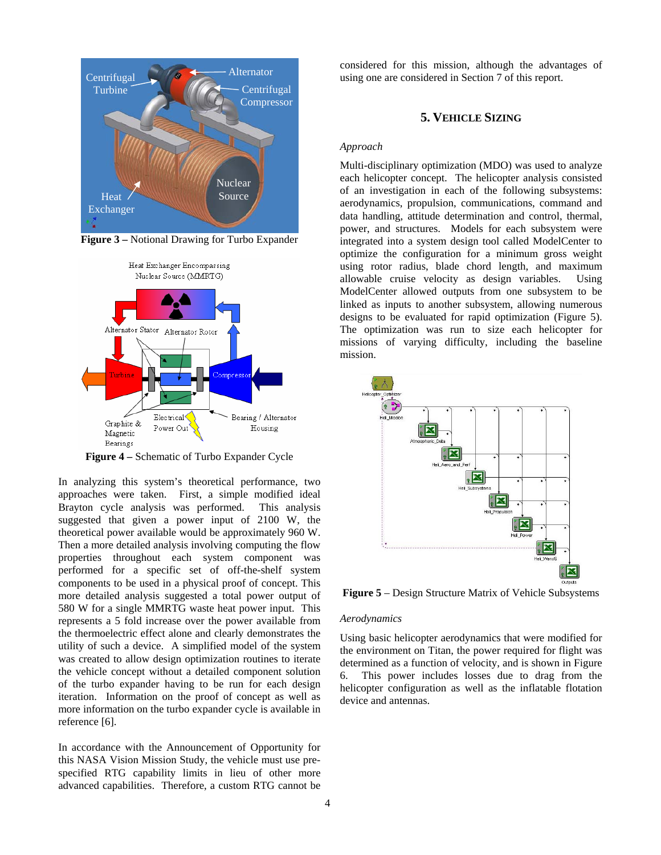

**Figure 3 –** Notional Drawing for Turbo Expander



**Figure 4 –** Schematic of Turbo Expander Cycle

In analyzing this system's theoretical performance, two approaches were taken. First, a simple modified ideal Brayton cycle analysis was performed. This analysis suggested that given a power input of 2100 W, the theoretical power available would be approximately 960 W. Then a more detailed analysis involving computing the flow properties throughout each system component was performed for a specific set of off-the-shelf system components to be used in a physical proof of concept. This more detailed analysis suggested a total power output of 580 W for a single MMRTG waste heat power input. This represents a 5 fold increase over the power available from the thermoelectric effect alone and clearly demonstrates the utility of such a device. A simplified model of the system was created to allow design optimization routines to iterate the vehicle concept without a detailed component solution of the turbo expander having to be run for each design iteration. Information on the proof of concept as well as more information on the turbo expander cycle is available in reference [6].

In accordance with the Announcement of Opportunity for this NASA Vision Mission Study, the vehicle must use prespecified RTG capability limits in lieu of other more advanced capabilities. Therefore, a custom RTG cannot be

considered for this mission, although the advantages of Alternator using one are considered in Section 7 of this report.

## **5. VEHICLE SIZING**

## *Approach*

Multi-disciplinary optimization (MDO) was used to analyze each helicopter concept. The helicopter analysis consisted of an investigation in each of the following subsystems: aerodynamics, propulsion, communications, command and data handling, attitude determination and control, thermal, power, and structures. Models for each subsystem were integrated into a system design tool called ModelCenter to optimize the configuration for a minimum gross weight using rotor radius, blade chord length, and maximum allowable cruise velocity as design variables. Using ModelCenter allowed outputs from one subsystem to be linked as inputs to another subsystem, allowing numerous designs to be evaluated for rapid optimization (Figure 5). The optimization was run to size each helicopter for missions of varying difficulty, including the baseline mission.



**Figure 5** – Design Structure Matrix of Vehicle Subsystems

#### *Aerodynamics*

Using basic helicopter aerodynamics that were modified for the environment on Titan, the power required for flight was determined as a function of velocity, and is shown in Figure 6. This power includes losses due to drag from the helicopter configuration as well as the inflatable flotation device and antennas.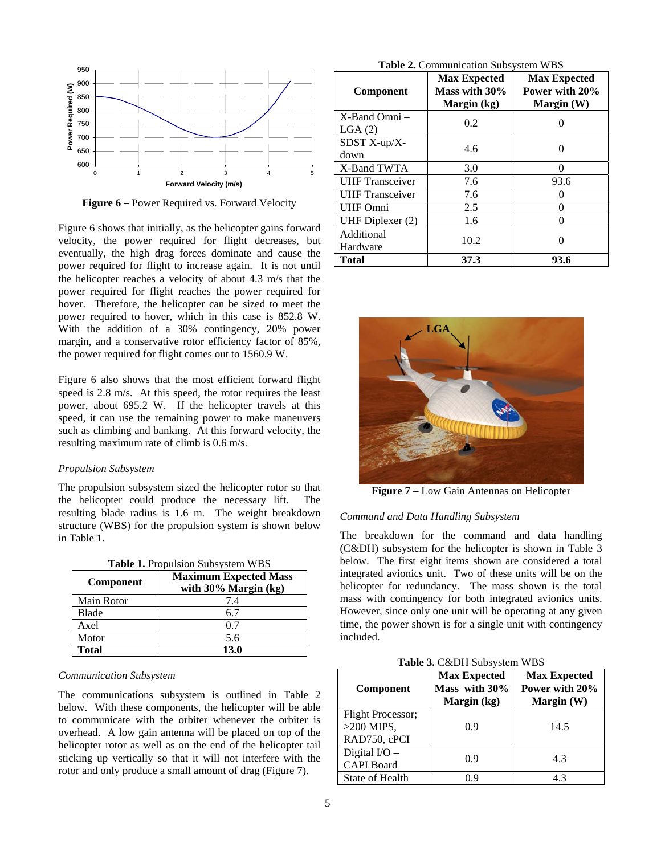

**Figure 6** – Power Required vs. Forward Velocity

Figure 6 shows that initially, as the helicopter gains forward velocity, the power required for flight decreases, but eventually, the high drag forces dominate and cause the power required for flight to increase again. It is not until the helicopter reaches a velocity of about 4.3 m/s that the power required for flight reaches the power required for hover. Therefore, the helicopter can be sized to meet the power required to hover, which in this case is 852.8 W. With the addition of a 30% contingency, 20% power margin, and a conservative rotor efficiency factor of 85%, the power required for flight comes out to 1560.9 W.

Figure 6 also shows that the most efficient forward flight speed is 2.8 m/s. At this speed, the rotor requires the least power, about 695.2 W. If the helicopter travels at this speed, it can use the remaining power to make maneuvers such as climbing and banking. At this forward velocity, the resulting maximum rate of climb is 0.6 m/s.

### *Propulsion Subsystem*

The propulsion subsystem sized the helicopter rotor so that the helicopter could produce the necessary lift. The resulting blade radius is 1.6 m. The weight breakdown structure (WBS) for the propulsion system is shown below in Table 1.

| Table 1. Propulsion Subsystem WBS |  |
|-----------------------------------|--|
|                                   |  |

| <b>Component</b> | <b>Maximum Expected Mass</b><br>with $30\%$ Margin (kg) |  |
|------------------|---------------------------------------------------------|--|
| Main Rotor       | 7.4                                                     |  |
| Blade            | 67                                                      |  |
| Axel             |                                                         |  |
| Motor            | 5.6                                                     |  |
| <b>Total</b>     | 13 0                                                    |  |

## *Communication Subsystem*

The communications subsystem is outlined in Table 2 below. With these components, the helicopter will be able to communicate with the orbiter whenever the orbiter is overhead. A low gain antenna will be placed on top of the helicopter rotor as well as on the end of the helicopter tail sticking up vertically so that it will not interfere with the rotor and only produce a small amount of drag (Figure 7).

|  | Table 2. Communication Subsystem WBS |  |  |
|--|--------------------------------------|--|--|
|--|--------------------------------------|--|--|

| Component                    | <b>Max Expected</b><br>Mass with 30%<br>Margin (kg) | <b>Max Expected</b><br>Power with 20%<br>Margin (W) |
|------------------------------|-----------------------------------------------------|-----------------------------------------------------|
| $X$ -Band Omni $-$<br>LGA(2) | 0.2                                                 |                                                     |
| SDST X-up/X-<br>down         | 4.6                                                 |                                                     |
| X-Band TWTA                  | 3.0                                                 |                                                     |
| <b>UHF</b> Transceiver       | 7.6                                                 | 93.6                                                |
| <b>UHF</b> Transceiver       | 7.6                                                 |                                                     |
| <b>UHF Omni</b>              | 2.5                                                 |                                                     |
| UHF Diplexer (2)             | 1.6                                                 |                                                     |
| Additional<br>Hardware       | 10.2                                                |                                                     |
| <b>Total</b>                 | 37.3                                                | 93.6                                                |



**Figure 7** – Low Gain Antennas on Helicopter

## *Command and Data Handling Subsystem*

The breakdown for the command and data handling (C&DH) subsystem for the helicopter is shown in Table 3 below. The first eight items shown are considered a total integrated avionics unit. Two of these units will be on the helicopter for redundancy. The mass shown is the total mass with contingency for both integrated avionics units. However, since only one unit will be operating at any given time, the power shown is for a single unit with contingency included.

| Table 3. C&DH Subsystem WBS |  |
|-----------------------------|--|
|-----------------------------|--|

| <b>Component</b>                                  | <b>Max Expected</b><br>Mass with 30%<br>Margin (kg) | <b>Max Expected</b><br>Power with 20%<br>Margin $(W)$ |
|---------------------------------------------------|-----------------------------------------------------|-------------------------------------------------------|
| Flight Processor;<br>$>200$ MIPS,<br>RAD750, cPCI | 0.9                                                 | 14.5                                                  |
| Digital $I/O -$<br><b>CAPI</b> Board              | 0.9                                                 | 4.3                                                   |
| State of Health                                   | 0 ዓ                                                 | 4.3                                                   |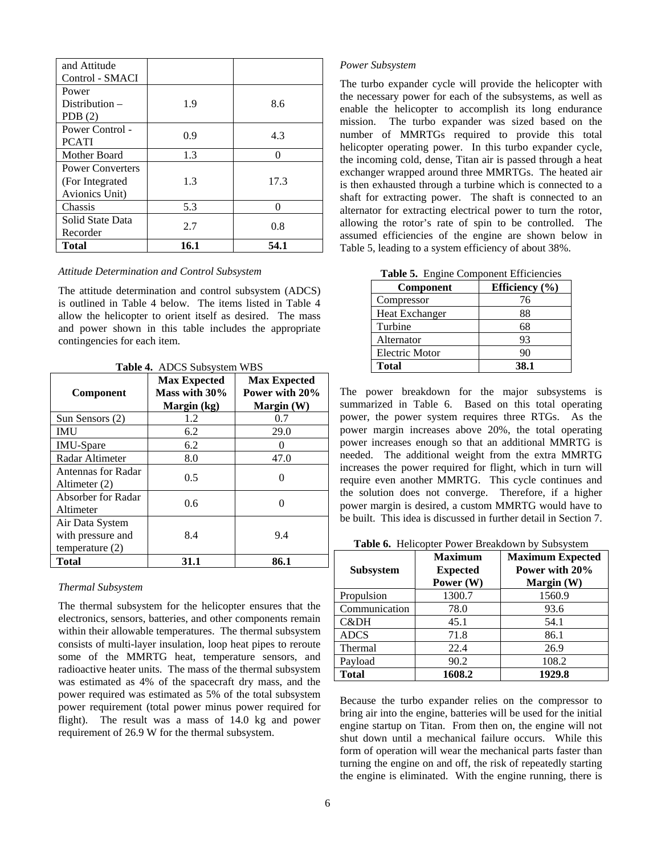| Chassis<br>Solid State Data                                  | 5.3 | ∩    |
|--------------------------------------------------------------|-----|------|
| <b>Power Converters</b><br>(For Integrated<br>Avionics Unit) | 1.3 | 17.3 |
| Mother Board                                                 | 1.3 | ∩    |
| Power Control -<br><b>PCATI</b>                              | 0.9 | 4.3  |
| Power<br>Distribution $-$<br>PDB $(2)$                       | 1.9 | 8.6  |
| and Attitude<br>Control - SMACI                              |     |      |

# *Attitude Determination and Control Subsystem*

The attitude determination and control subsystem (ADCS) is outlined in Table 4 below. The items listed in Table 4 allow the helicopter to orient itself as desired. The mass and power shown in this table includes the appropriate contingencies for each item.

**Table 4.** ADCS Subsystem WBS

| Component                                                 | <b>Max Expected</b><br>Mass with 30%<br>Margin (kg) | <b>Max Expected</b><br>Power with 20%<br>Margin $(W)$ |
|-----------------------------------------------------------|-----------------------------------------------------|-------------------------------------------------------|
| Sun Sensors (2)                                           | 1.2                                                 | 0.7                                                   |
| <b>IMU</b>                                                | 6.2                                                 | 29.0                                                  |
| <b>IMU-Spare</b>                                          | 6.2                                                 |                                                       |
| Radar Altimeter                                           | 8.0                                                 | 47.0                                                  |
| Antennas for Radar<br>Altimeter (2)                       | 0.5                                                 |                                                       |
| Absorber for Radar<br>Altimeter                           | 0.6                                                 |                                                       |
| Air Data System<br>with pressure and<br>temperature $(2)$ | 8.4                                                 | 9.4                                                   |
| <b>Total</b>                                              | 31.1                                                | 86.1                                                  |

#### *Thermal Subsystem*

The thermal subsystem for the helicopter ensures that the electronics, sensors, batteries, and other components remain within their allowable temperatures. The thermal subsystem consists of multi-layer insulation, loop heat pipes to reroute some of the MMRTG heat, temperature sensors, and radioactive heater units. The mass of the thermal subsystem was estimated as 4% of the spacecraft dry mass, and the power required was estimated as 5% of the total subsystem power requirement (total power minus power required for flight). The result was a mass of 14.0 kg and power requirement of 26.9 W for the thermal subsystem.

## *Power Subsystem*

The turbo expander cycle will provide the helicopter with the necessary power for each of the subsystems, as well as enable the helicopter to accomplish its long endurance mission. The turbo expander was sized based on the number of MMRTGs required to provide this total helicopter operating power. In this turbo expander cycle, the incoming cold, dense, Titan air is passed through a heat exchanger wrapped around three MMRTGs. The heated air is then exhausted through a turbine which is connected to a shaft for extracting power. The shaft is connected to an alternator for extracting electrical power to turn the rotor, allowing the rotor's rate of spin to be controlled. The assumed efficiencies of the engine are shown below in Table 5, leading to a system efficiency of about 38%.

| Table 5. Engine Component Efficiencies |                |  |
|----------------------------------------|----------------|--|
| Component                              | Efficiency (%) |  |
| Compressor                             | 76             |  |
| Heat Exchanger                         | 88             |  |
| Turbine                                | 68             |  |
| Alternator                             | 93             |  |
| Electric Motor                         | 90             |  |
| <b>Total</b>                           | 38.1           |  |

The power breakdown for the major subsystems is summarized in Table 6. Based on this total operating power, the power system requires three RTGs. As the power margin increases above 20%, the total operating power increases enough so that an additional MMRTG is needed. The additional weight from the extra MMRTG increases the power required for flight, which in turn will require even another MMRTG. This cycle continues and the solution does not converge. Therefore, if a higher power margin is desired, a custom MMRTG would have to

be built. This idea is discussed in further detail in Section 7.

| <b>Subsystem</b> | <b>Maximum</b><br><b>Expected</b><br>Power (W) | <b>Maximum Expected</b><br>Power with 20%<br>Margin (W) |
|------------------|------------------------------------------------|---------------------------------------------------------|
| Propulsion       | 1300.7                                         | 1560.9                                                  |
| Communication    | 78.0                                           | 93.6                                                    |
| C&DH             | 45.1                                           | 54.1                                                    |
| <b>ADCS</b>      | 71.8                                           | 86.1                                                    |
| Thermal          | 22.4                                           | 26.9                                                    |
| Payload          | 90.2                                           | 108.2                                                   |
| <b>Total</b>     | 1608.2                                         | 1929.8                                                  |

Because the turbo expander relies on the compressor to bring air into the engine, batteries will be used for the initial engine startup on Titan. From then on, the engine will not shut down until a mechanical failure occurs. While this form of operation will wear the mechanical parts faster than turning the engine on and off, the risk of repeatedly starting the engine is eliminated. With the engine running, there is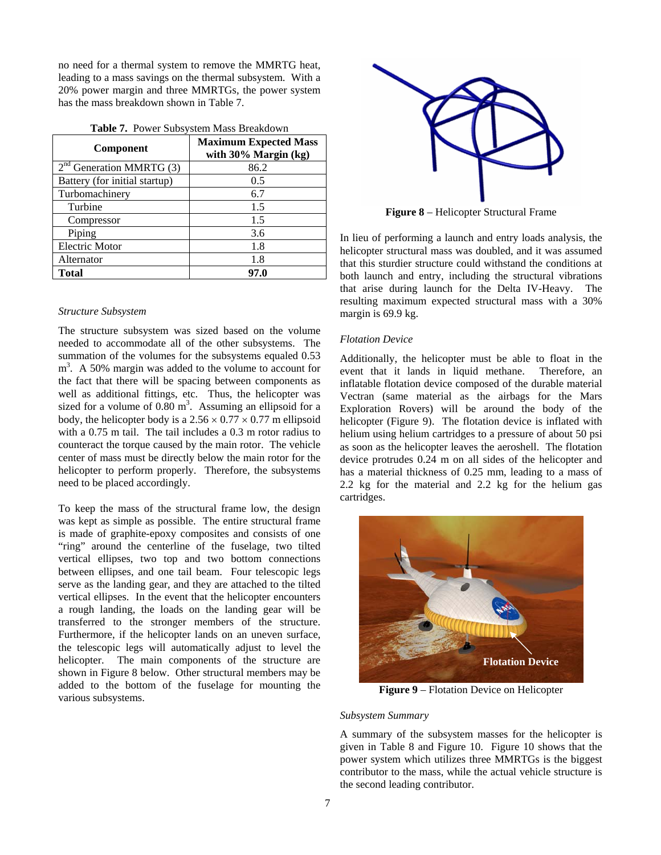no need for a thermal system to remove the MMRTG heat, leading to a mass savings on the thermal subsystem. With a 20% power margin and three MMRTGs, the power system has the mass breakdown shown in Table 7.

| <b>Component</b>              | <b>Maximum Expected Mass</b><br>with $30\%$ Margin (kg) |  |  |
|-------------------------------|---------------------------------------------------------|--|--|
| $2nd$ Generation MMRTG (3)    | 86.2                                                    |  |  |
| Battery (for initial startup) | 0.5                                                     |  |  |
| Turbomachinery                | 6.7                                                     |  |  |
| Turbine                       | 1.5                                                     |  |  |
| Compressor                    | 1.5                                                     |  |  |
| Piping                        | 3.6                                                     |  |  |
| <b>Electric Motor</b>         | 1.8                                                     |  |  |
| Alternator                    | 1.8                                                     |  |  |
| <b>Total</b>                  | 97.0                                                    |  |  |

|  |  | Table 7. Power Subsystem Mass Breakdown |
|--|--|-----------------------------------------|
|--|--|-----------------------------------------|

## *Structure Subsystem*

The structure subsystem was sized based on the volume needed to accommodate all of the other subsystems. The summation of the volumes for the subsystems equaled 0.53 m<sup>3</sup>. A 50% margin was added to the volume to account for the fact that there will be spacing between components as well as additional fittings, etc. Thus, the helicopter was sized for a volume of  $0.80 \text{ m}^3$ . Assuming an ellipsoid for a body, the helicopter body is a  $2.56 \times 0.77 \times 0.77$  m ellipsoid with a 0.75 m tail. The tail includes a 0.3 m rotor radius to counteract the torque caused by the main rotor. The vehicle center of mass must be directly below the main rotor for the helicopter to perform properly. Therefore, the subsystems need to be placed accordingly.

To keep the mass of the structural frame low, the design was kept as simple as possible. The entire structural frame is made of graphite-epoxy composites and consists of one "ring" around the centerline of the fuselage, two tilted vertical ellipses, two top and two bottom connections between ellipses, and one tail beam. Four telescopic legs serve as the landing gear, and they are attached to the tilted vertical ellipses. In the event that the helicopter encounters a rough landing, the loads on the landing gear will be transferred to the stronger members of the structure. Furthermore, if the helicopter lands on an uneven surface, the telescopic legs will automatically adjust to level the helicopter. The main components of the structure are shown in Figure 8 below. Other structural members may be added to the bottom of the fuselage for mounting the various subsystems.



**Figure 8** – Helicopter Structural Frame

In lieu of performing a launch and entry loads analysis, the helicopter structural mass was doubled, and it was assumed that this sturdier structure could withstand the conditions at both launch and entry, including the structural vibrations that arise during launch for the Delta IV-Heavy. The resulting maximum expected structural mass with a 30% margin is 69.9 kg.

## *Flotation Device*

Additionally, the helicopter must be able to float in the event that it lands in liquid methane. Therefore, an inflatable flotation device composed of the durable material Vectran (same material as the airbags for the Mars Exploration Rovers) will be around the body of the helicopter (Figure 9). The flotation device is inflated with helium using helium cartridges to a pressure of about 50 psi as soon as the helicopter leaves the aeroshell. The flotation device protrudes 0.24 m on all sides of the helicopter and has a material thickness of 0.25 mm, leading to a mass of 2.2 kg for the material and 2.2 kg for the helium gas cartridges.



**Figure 9** – Flotation Device on Helicopter

#### *Subsystem Summary*

A summary of the subsystem masses for the helicopter is given in Table 8 and Figure 10. Figure 10 shows that the power system which utilizes three MMRTGs is the biggest contributor to the mass, while the actual vehicle structure is the second leading contributor.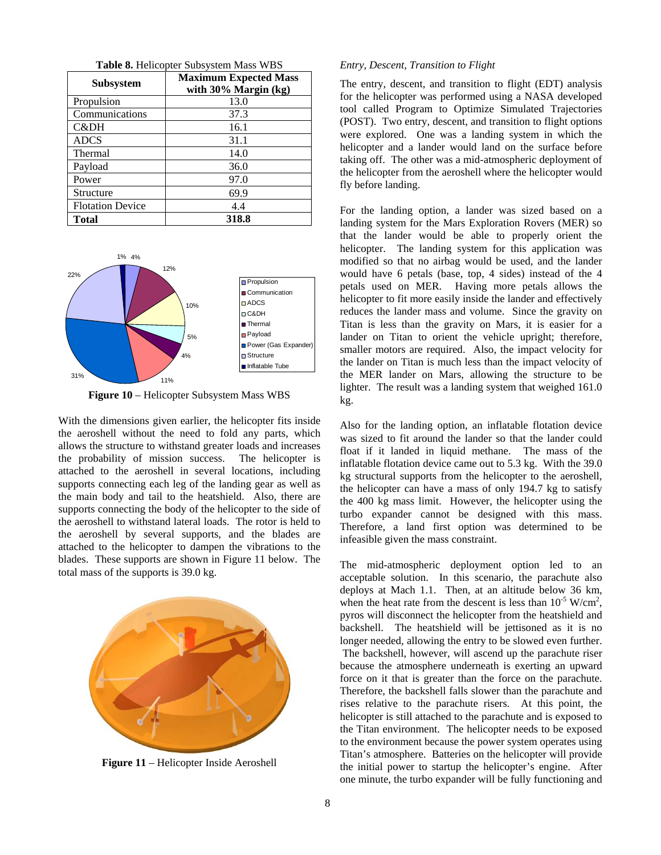| <b>Subsystem</b>        | <b>Maximum Expected Mass</b><br>with $30\%$ Margin (kg) |
|-------------------------|---------------------------------------------------------|
| Propulsion              | 13.0                                                    |
| Communications          | 37.3                                                    |
| C&DH                    | 16.1                                                    |
| <b>ADCS</b>             | 31.1                                                    |
| Thermal                 | 14.0                                                    |
| Payload                 | 36.0                                                    |
| Power                   | 97.0                                                    |
| Structure               | 69.9                                                    |
| <b>Flotation Device</b> | 4.4                                                     |
| <b>Total</b>            | 318.8                                                   |

**Table 8.** Helicopter Subsystem Mass WBS



**Figure 10** – Helicopter Subsystem Mass WBS

With the dimensions given earlier, the helicopter fits inside the aeroshell without the need to fold any parts, which allows the structure to withstand greater loads and increases the probability of mission success. The helicopter is attached to the aeroshell in several locations, including supports connecting each leg of the landing gear as well as the main body and tail to the heatshield. Also, there are supports connecting the body of the helicopter to the side of the aeroshell to withstand lateral loads. The rotor is held to the aeroshell by several supports, and the blades are attached to the helicopter to dampen the vibrations to the blades. These supports are shown in Figure 11 below. The total mass of the supports is 39.0 kg.



**Figure 11** – Helicopter Inside Aeroshell

## *Entry, Descent, Transition to Flight*

The entry, descent, and transition to flight (EDT) analysis for the helicopter was performed using a NASA developed tool called Program to Optimize Simulated Trajectories (POST). Two entry, descent, and transition to flight options were explored. One was a landing system in which the helicopter and a lander would land on the surface before taking off. The other was a mid-atmospheric deployment of the helicopter from the aeroshell where the helicopter would fly before landing.

For the landing option, a lander was sized based on a landing system for the Mars Exploration Rovers (MER) so that the lander would be able to properly orient the helicopter. The landing system for this application was modified so that no airbag would be used, and the lander would have 6 petals (base, top, 4 sides) instead of the 4 petals used on MER. Having more petals allows the helicopter to fit more easily inside the lander and effectively reduces the lander mass and volume. Since the gravity on Titan is less than the gravity on Mars, it is easier for a lander on Titan to orient the vehicle upright; therefore, smaller motors are required. Also, the impact velocity for the lander on Titan is much less than the impact velocity of the MER lander on Mars, allowing the structure to be lighter. The result was a landing system that weighed 161.0 kg.

Also for the landing option, an inflatable flotation device was sized to fit around the lander so that the lander could float if it landed in liquid methane. The mass of the inflatable flotation device came out to 5.3 kg. With the 39.0 kg structural supports from the helicopter to the aeroshell, the helicopter can have a mass of only 194.7 kg to satisfy the 400 kg mass limit. However, the helicopter using the turbo expander cannot be designed with this mass. Therefore, a land first option was determined to be infeasible given the mass constraint.

The mid-atmospheric deployment option led to an acceptable solution. In this scenario, the parachute also deploys at Mach 1.1. Then, at an altitude below 36 km, when the heat rate from the descent is less than  $10^{-5}$  W/cm<sup>2</sup>, pyros will disconnect the helicopter from the heatshield and backshell. The heatshield will be jettisoned as it is no longer needed, allowing the entry to be slowed even further. The backshell, however, will ascend up the parachute riser because the atmosphere underneath is exerting an upward force on it that is greater than the force on the parachute. Therefore, the backshell falls slower than the parachute and rises relative to the parachute risers. At this point, the helicopter is still attached to the parachute and is exposed to the Titan environment. The helicopter needs to be exposed to the environment because the power system operates using Titan's atmosphere. Batteries on the helicopter will provide the initial power to startup the helicopter's engine. After one minute, the turbo expander will be fully functioning and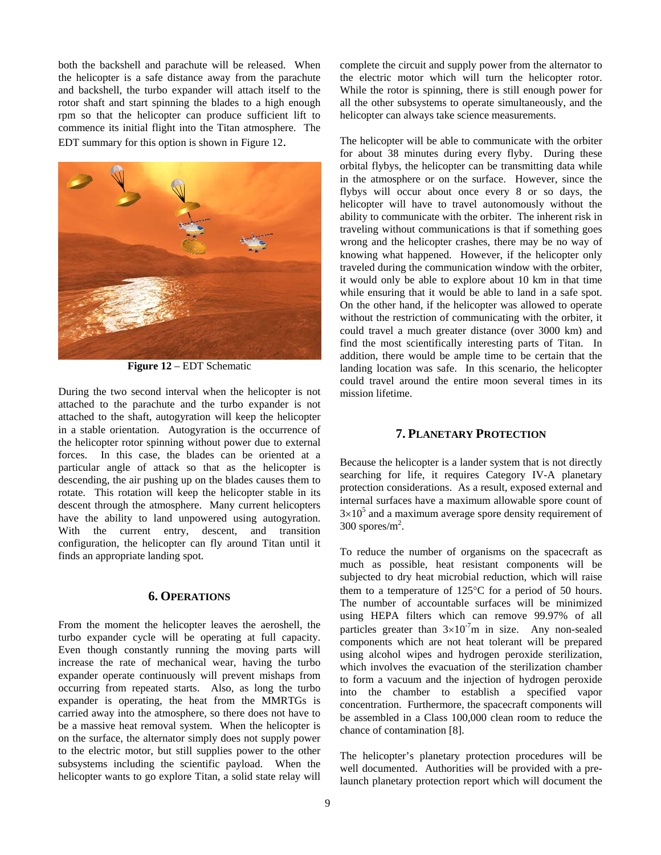both the backshell and parachute will be released. When the helicopter is a safe distance away from the parachute and backshell, the turbo expander will attach itself to the rotor shaft and start spinning the blades to a high enough rpm so that the helicopter can produce sufficient lift to commence its initial flight into the Titan atmosphere. The EDT summary for this option is shown in Figure 12.



**Figure 12** – EDT Schematic

During the two second interval when the helicopter is not attached to the parachute and the turbo expander is not attached to the shaft, autogyration will keep the helicopter in a stable orientation. Autogyration is the occurrence of the helicopter rotor spinning without power due to external forces. In this case, the blades can be oriented at a particular angle of attack so that as the helicopter is descending, the air pushing up on the blades causes them to rotate. This rotation will keep the helicopter stable in its descent through the atmosphere. Many current helicopters have the ability to land unpowered using autogyration. With the current entry, descent, and transition configuration, the helicopter can fly around Titan until it finds an appropriate landing spot.

## **6. OPERATIONS**

From the moment the helicopter leaves the aeroshell, the turbo expander cycle will be operating at full capacity. Even though constantly running the moving parts will increase the rate of mechanical wear, having the turbo expander operate continuously will prevent mishaps from occurring from repeated starts. Also, as long the turbo expander is operating, the heat from the MMRTGs is carried away into the atmosphere, so there does not have to be a massive heat removal system. When the helicopter is on the surface, the alternator simply does not supply power to the electric motor, but still supplies power to the other subsystems including the scientific payload. When the helicopter wants to go explore Titan, a solid state relay will

complete the circuit and supply power from the alternator to the electric motor which will turn the helicopter rotor. While the rotor is spinning, there is still enough power for all the other subsystems to operate simultaneously, and the helicopter can always take science measurements.

The helicopter will be able to communicate with the orbiter for about 38 minutes during every flyby. During these orbital flybys, the helicopter can be transmitting data while in the atmosphere or on the surface. However, since the flybys will occur about once every 8 or so days, the helicopter will have to travel autonomously without the ability to communicate with the orbiter. The inherent risk in traveling without communications is that if something goes wrong and the helicopter crashes, there may be no way of knowing what happened. However, if the helicopter only traveled during the communication window with the orbiter, it would only be able to explore about 10 km in that time while ensuring that it would be able to land in a safe spot. On the other hand, if the helicopter was allowed to operate without the restriction of communicating with the orbiter, it could travel a much greater distance (over 3000 km) and find the most scientifically interesting parts of Titan. In addition, there would be ample time to be certain that the landing location was safe. In this scenario, the helicopter could travel around the entire moon several times in its mission lifetime.

# **7. PLANETARY PROTECTION**

Because the helicopter is a lander system that is not directly searching for life, it requires Category IV-A planetary protection considerations. As a result, exposed external and internal surfaces have a maximum allowable spore count of  $3\times10^5$  and a maximum average spore density requirement of  $300$  spores/m<sup>2</sup>.

To reduce the number of organisms on the spacecraft as much as possible, heat resistant components will be subjected to dry heat microbial reduction, which will raise them to a temperature of 125°C for a period of 50 hours. The number of accountable surfaces will be minimized using HEPA filters which can remove 99.97% of all particles greater than  $3\times10^{-7}$ m in size. Any non-sealed components which are not heat tolerant will be prepared using alcohol wipes and hydrogen peroxide sterilization, which involves the evacuation of the sterilization chamber to form a vacuum and the injection of hydrogen peroxide into the chamber to establish a specified vapor concentration. Furthermore, the spacecraft components will be assembled in a Class 100,000 clean room to reduce the chance of contamination [8].

The helicopter's planetary protection procedures will be well documented. Authorities will be provided with a prelaunch planetary protection report which will document the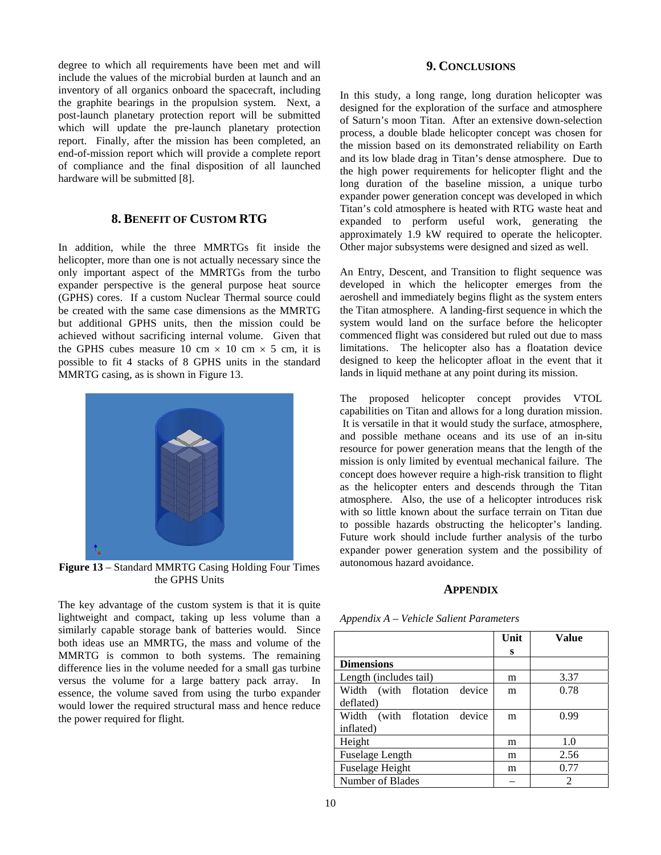degree to which all requirements have been met and will include the values of the microbial burden at launch and an inventory of all organics onboard the spacecraft, including the graphite bearings in the propulsion system. Next, a post-launch planetary protection report will be submitted which will update the pre-launch planetary protection report. Finally, after the mission has been completed, an end-of-mission report which will provide a complete report of compliance and the final disposition of all launched hardware will be submitted [8].

# **8. BENEFIT OF CUSTOM RTG**

In addition, while the three MMRTGs fit inside the helicopter, more than one is not actually necessary since the only important aspect of the MMRTGs from the turbo expander perspective is the general purpose heat source (GPHS) cores. If a custom Nuclear Thermal source could be created with the same case dimensions as the MMRTG but additional GPHS units, then the mission could be achieved without sacrificing internal volume. Given that the GPHS cubes measure 10 cm  $\times$  10 cm  $\times$  5 cm, it is possible to fit 4 stacks of 8 GPHS units in the standard MMRTG casing, as is shown in Figure 13.



**Figure 13** – Standard MMRTG Casing Holding Four Times the GPHS Units

The key advantage of the custom system is that it is quite lightweight and compact, taking up less volume than a similarly capable storage bank of batteries would. Since both ideas use an MMRTG, the mass and volume of the MMRTG is common to both systems. The remaining difference lies in the volume needed for a small gas turbine versus the volume for a large battery pack array. In essence, the volume saved from using the turbo expander would lower the required structural mass and hence reduce the power required for flight.

# **9. CONCLUSIONS**

In this study, a long range, long duration helicopter was designed for the exploration of the surface and atmosphere of Saturn's moon Titan. After an extensive down-selection process, a double blade helicopter concept was chosen for the mission based on its demonstrated reliability on Earth and its low blade drag in Titan's dense atmosphere. Due to the high power requirements for helicopter flight and the long duration of the baseline mission, a unique turbo expander power generation concept was developed in which Titan's cold atmosphere is heated with RTG waste heat and expanded to perform useful work, generating the approximately 1.9 kW required to operate the helicopter. Other major subsystems were designed and sized as well.

An Entry, Descent, and Transition to flight sequence was developed in which the helicopter emerges from the aeroshell and immediately begins flight as the system enters the Titan atmosphere. A landing-first sequence in which the system would land on the surface before the helicopter commenced flight was considered but ruled out due to mass limitations. The helicopter also has a floatation device designed to keep the helicopter afloat in the event that it lands in liquid methane at any point during its mission.

The proposed helicopter concept provides VTOL capabilities on Titan and allows for a long duration mission. It is versatile in that it would study the surface, atmosphere, and possible methane oceans and its use of an in-situ resource for power generation means that the length of the mission is only limited by eventual mechanical failure. The concept does however require a high-risk transition to flight as the helicopter enters and descends through the Titan atmosphere. Also, the use of a helicopter introduces risk with so little known about the surface terrain on Titan due to possible hazards obstructing the helicopter's landing. Future work should include further analysis of the turbo expander power generation system and the possibility of autonomous hazard avoidance.

## **APPENDIX**

|                              | Unit | Value |
|------------------------------|------|-------|
|                              | s    |       |
| <b>Dimensions</b>            |      |       |
| Length (includes tail)       | m    | 3.37  |
| Width (with flotation device | m    | 0.78  |
| deflated)                    |      |       |
| Width (with flotation device | m    | 0.99  |
| inflated)                    |      |       |
| Height                       | m    | 1.0   |
| <b>Fuselage Length</b>       | m    | 2.56  |
| <b>Fuselage Height</b>       | m    | 0.77  |
| Number of Blades             |      | 2     |

*Appendix A – Vehicle Salient Parameters*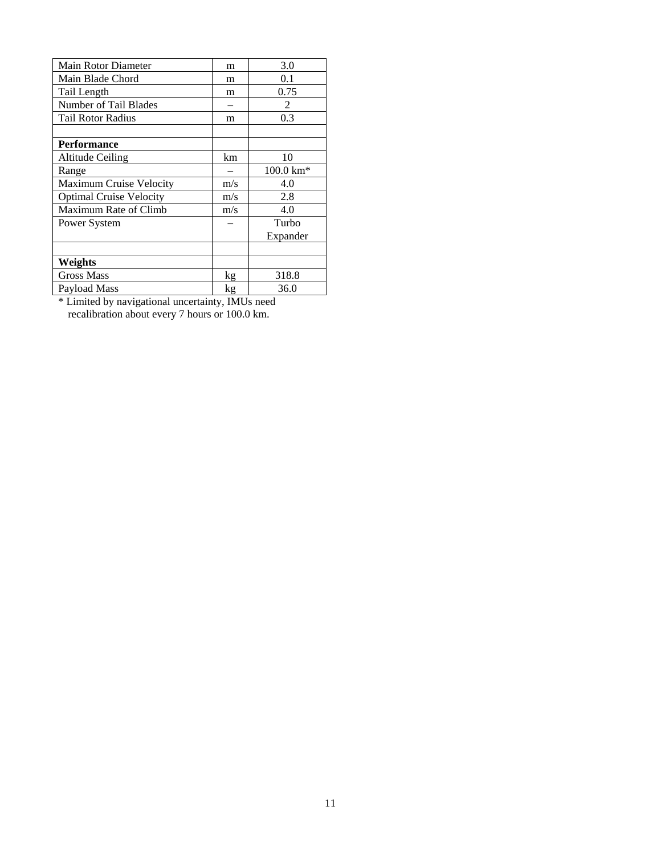| Main Rotor Diameter            | m   | 3.0                  |
|--------------------------------|-----|----------------------|
| Main Blade Chord               | m   | 0.1                  |
| Tail Length                    | m   | 0.75                 |
| Number of Tail Blades          |     | 2                    |
| Tail Rotor Radius              | m   | 0.3                  |
|                                |     |                      |
| <b>Performance</b>             |     |                      |
| Altitude Ceiling               | km  | 10                   |
| Range                          |     | $100.0 \text{ km}^*$ |
| <b>Maximum Cruise Velocity</b> | m/s | 4.0                  |
| <b>Optimal Cruise Velocity</b> | m/s | 2.8                  |
| Maximum Rate of Climb          | m/s | 4.0                  |
| Power System                   |     | Turbo                |
|                                |     | Expander             |
|                                |     |                      |
| Weights                        |     |                      |
| <b>Gross Mass</b>              | kg  | 318.8                |
| Payload Mass                   | kg  | 36.0                 |

\* Limited by navigational uncertainty, IMUs need recalibration about every 7 hours or 100.0 km.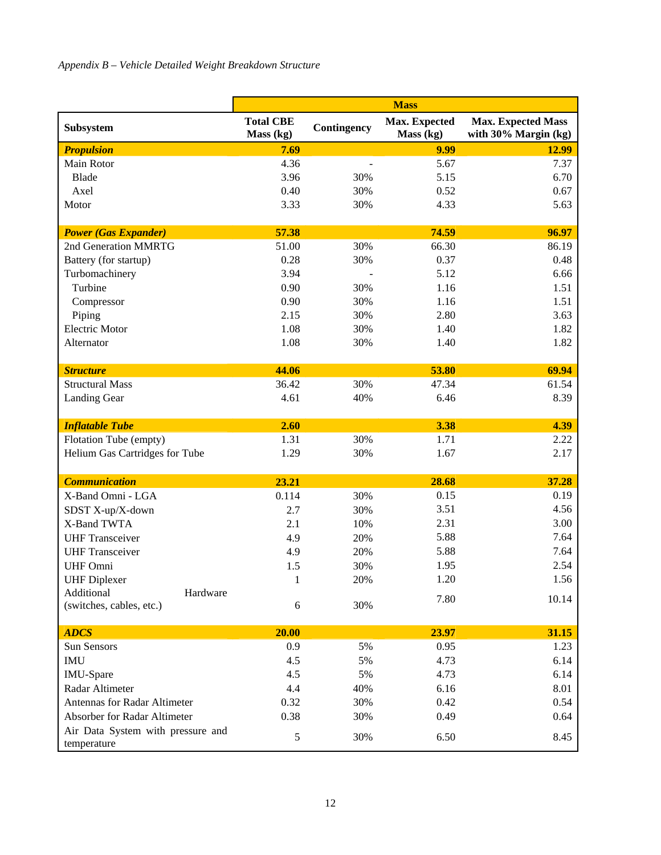|                                            | <b>Mass</b>                   |                          |                            |                                                   |
|--------------------------------------------|-------------------------------|--------------------------|----------------------------|---------------------------------------------------|
| Subsystem                                  | <b>Total CBE</b><br>Mass (kg) | Contingency              | Max. Expected<br>Mass (kg) | <b>Max. Expected Mass</b><br>with 30% Margin (kg) |
| <b>Propulsion</b>                          | 7.69                          |                          | 9.99                       | 12.99                                             |
| Main Rotor                                 | 4.36                          | $\overline{\phantom{a}}$ | 5.67                       | 7.37                                              |
| <b>Blade</b>                               | 3.96                          | 30%                      | 5.15                       | 6.70                                              |
| Axel                                       | 0.40                          | 30%                      | 0.52                       | 0.67                                              |
| Motor                                      | 3.33                          | 30%                      | 4.33                       | 5.63                                              |
|                                            |                               |                          |                            |                                                   |
| <b>Power (Gas Expander)</b>                | 57.38                         |                          | 74.59                      | 96.97                                             |
| 2nd Generation MMRTG                       | 51.00                         | 30%                      | 66.30                      | 86.19                                             |
| Battery (for startup)                      | 0.28                          | 30%                      | 0.37                       | 0.48                                              |
| Turbomachinery                             | 3.94                          |                          | 5.12                       | 6.66                                              |
| Turbine                                    | 0.90                          | 30%                      | 1.16                       | 1.51                                              |
| Compressor                                 | 0.90                          | 30%                      | 1.16                       | 1.51                                              |
| Piping                                     | 2.15                          | 30%                      | 2.80                       | 3.63                                              |
| <b>Electric Motor</b>                      | 1.08                          | 30%                      | 1.40                       | 1.82                                              |
| Alternator                                 | 1.08                          | 30%                      | 1.40                       | 1.82                                              |
|                                            | 44.06                         |                          | 53.80                      | 69.94                                             |
| <b>Structure</b><br><b>Structural Mass</b> | 36.42                         | 30%                      |                            | 61.54                                             |
|                                            |                               |                          | 47.34                      |                                                   |
| <b>Landing Gear</b>                        | 4.61                          | 40%                      | 6.46                       | 8.39                                              |
| <b>Inflatable Tube</b>                     | 2.60                          |                          | 3.38                       | 4.39                                              |
| Flotation Tube (empty)                     | 1.31                          | 30%                      | 1.71                       | 2.22                                              |
| Helium Gas Cartridges for Tube             | 1.29                          | 30%                      | 1.67                       | 2.17                                              |
|                                            |                               |                          |                            |                                                   |
| <b>Communication</b>                       | 23.21                         |                          | 28.68                      | 37.28                                             |
| X-Band Omni - LGA                          | 0.114                         | 30%                      | 0.15                       | 0.19                                              |
| SDST X-up/X-down                           | 2.7                           | 30%                      | 3.51                       | 4.56                                              |
| X-Band TWTA                                | 2.1                           | 10%                      | 2.31                       | 3.00                                              |
| <b>UHF Transceiver</b>                     | 4.9                           | 20%                      | 5.88                       | 7.64                                              |
| <b>UHF Transceiver</b>                     | 4.9                           | 20%                      | 5.88                       | 7.64                                              |
| <b>UHF Omni</b>                            | 1.5                           | 30%                      | 1.95                       | 2.54                                              |
| <b>UHF</b> Diplexer                        | 1                             | 20%                      | 1.20                       | 1.56                                              |
| Additional<br>Hardware                     |                               |                          | 7.80                       | 10.14                                             |
| (switches, cables, etc.)                   | 6                             | 30%                      |                            |                                                   |
| <b>ADCS</b>                                | 20.00                         |                          | 23.97                      | 31.15                                             |
| Sun Sensors                                | 0.9                           | 5%                       | 0.95                       | 1.23                                              |
| <b>IMU</b>                                 | 4.5                           | 5%                       | 4.73                       | 6.14                                              |
| IMU-Spare                                  | 4.5                           | 5%                       | 4.73                       | 6.14                                              |
| Radar Altimeter                            | 4.4                           | 40%                      | 6.16                       | 8.01                                              |
| <b>Antennas for Radar Altimeter</b>        | 0.32                          | 30%                      | 0.42                       | 0.54                                              |
| Absorber for Radar Altimeter               | 0.38                          | 30%                      | 0.49                       | 0.64                                              |
| Air Data System with pressure and          |                               |                          |                            |                                                   |
| temperature                                | 5                             | 30%                      | 6.50                       | 8.45                                              |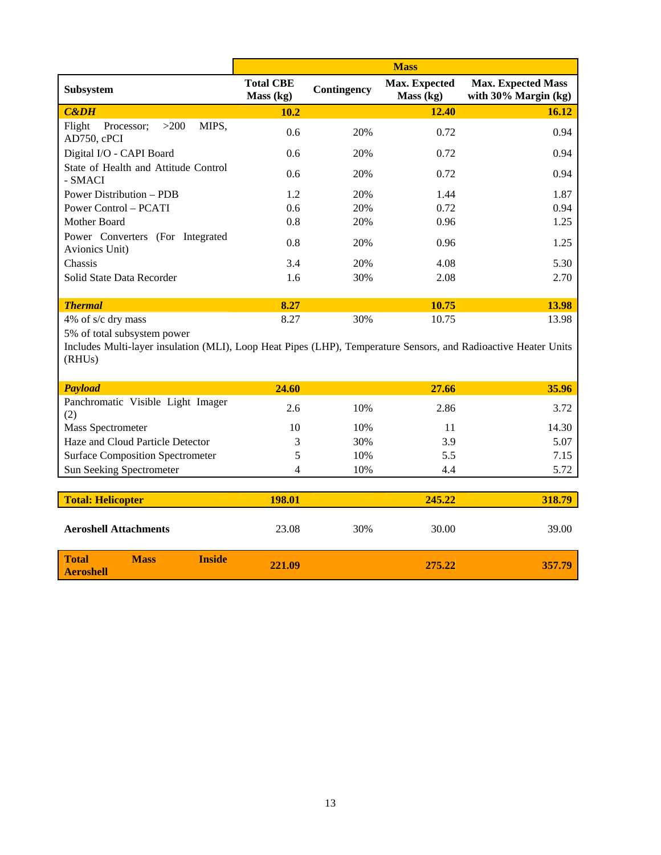|                                                      | <b>Mass</b>                   |             |                                   |                                                      |
|------------------------------------------------------|-------------------------------|-------------|-----------------------------------|------------------------------------------------------|
| <b>Subsystem</b>                                     | <b>Total CBE</b><br>Mass (kg) | Contingency | <b>Max. Expected</b><br>Mass (kg) | <b>Max. Expected Mass</b><br>with $30\%$ Margin (kg) |
| $C\&DH$                                              | 10.2                          |             | 12.40                             | 16.12                                                |
| MIPS,<br>Flight<br>>200<br>Processor;<br>AD750, cPCI | 0.6                           | 20%         | 0.72                              | 0.94                                                 |
| Digital I/O - CAPI Board                             | 0.6                           | 20%         | 0.72                              | 0.94                                                 |
| State of Health and Attitude Control<br>- SMACI      | 0.6                           | 20%         | 0.72                              | 0.94                                                 |
| <b>Power Distribution – PDB</b>                      | 1.2                           | 20%         | 1.44                              | 1.87                                                 |
| <b>Power Control – PCATI</b>                         | 0.6                           | 20%         | 0.72                              | 0.94                                                 |
| Mother Board                                         | 0.8                           | 20%         | 0.96                              | 1.25                                                 |
| Power Converters (For Integrated<br>Avionics Unit)   | 0.8                           | 20%         | 0.96                              | 1.25                                                 |
| Chassis                                              | 3.4                           | 20%         | 4.08                              | 5.30                                                 |
| Solid State Data Recorder                            | 1.6                           | 30%         | 2.08                              | 2.70                                                 |
|                                                      |                               |             |                                   |                                                      |
| <b>Thermal</b>                                       | 8.27                          |             | 10.75                             | 13.98                                                |
| 4% of s/c dry mass                                   | 8.27                          | 30%         | 10.75                             | 13.98                                                |

5% of total subsystem power

Includes Multi-layer insulation (MLI), Loop Heat Pipes (LHP), Temperature Sensors, and Radioactive Heater Units (RHUs)

| <b>Payload</b>                           | 24.60 |     | 27.66 | 35.96 |
|------------------------------------------|-------|-----|-------|-------|
| Panchromatic Visible Light Imager<br>(2) | 2.6   | 10% | 2.86  | 3.72  |
| Mass Spectrometer                        | 10    | 10% | 11    | 14.30 |
| Haze and Cloud Particle Detector         |       | 30% | 3.9   | 5.07  |
| <b>Surface Composition Spectrometer</b>  |       | 10% | 5.5   | 7.15  |
| <b>Sun Seeking Spectrometer</b>          |       | 10% | 4.4   | 5.72  |

| <b>Total: Helicopter</b>     |             |               | 198.01 |     | 245.22 | 318.79 |
|------------------------------|-------------|---------------|--------|-----|--------|--------|
| <b>Aeroshell Attachments</b> |             |               | 23.08  | 30% | 30.00  | 39.00  |
| Total<br>Aeroshell           | <b>Mass</b> | <b>Inside</b> | 221.09 |     | 275.22 | 357.79 |